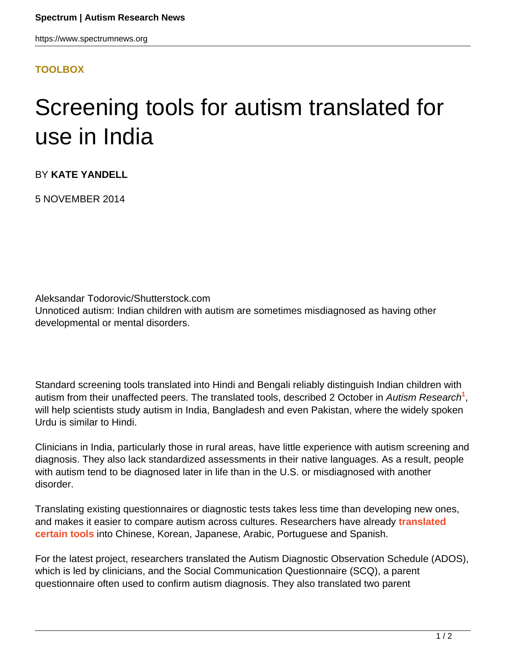## **[TOOLBOX](HTTPS://WWW.SPECTRUMNEWS.ORG/NEWS/TOOLBOX/)**

## Screening tools for autism translated for use in India

BY **KATE YANDELL**

5 NOVEMBER 2014

Aleksandar Todorovic/Shutterstock.com Unnoticed autism: Indian children with autism are sometimes misdiagnosed as having other developmental or mental disorders.

Standard screening tools translated into Hindi and Bengali reliably distinguish Indian children with autism from their unaffected peers. The translated tools, described 2 October in Autism Research<sup>1</sup>, will help scientists study autism in India, Bangladesh and even Pakistan, where the widely spoken Urdu is similar to Hindi.

Clinicians in India, particularly those in rural areas, have little experience with autism screening and diagnosis. They also lack standardized assessments in their native languages. As a result, people with autism tend to be diagnosed later in life than in the U.S. or misdiagnosed with another disorder.

Translating existing questionnaires or diagnostic tests takes less time than developing new ones, and makes it easier to compare autism across cultures. Researchers have already **[translated](https://www.spectrumnews.org/blog/2014/tools-for-autism-screening-must-vary-with-language-culture) [certain tools](https://www.spectrumnews.org/blog/2014/tools-for-autism-screening-must-vary-with-language-culture)** into Chinese, Korean, Japanese, Arabic, Portuguese and Spanish.

For the latest project, researchers translated the Autism Diagnostic Observation Schedule (ADOS), which is led by clinicians, and the Social Communication Questionnaire (SCQ), a parent questionnaire often used to confirm autism diagnosis. They also translated two parent